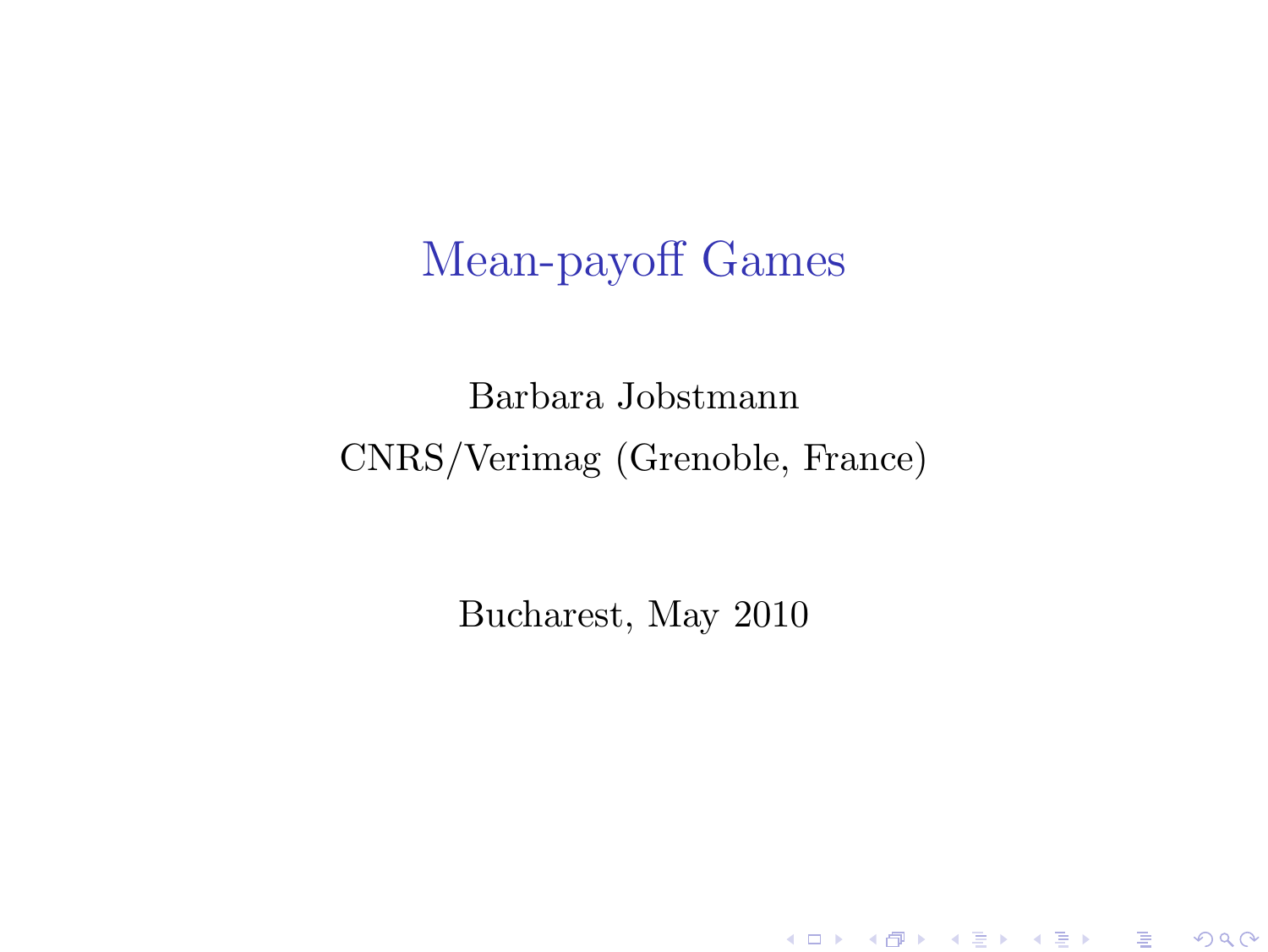## Mean-payoff Games

### Barbara Jobstmann CNRS/Verimag (Grenoble, France)

<span id="page-0-0"></span>Bucharest, May 2010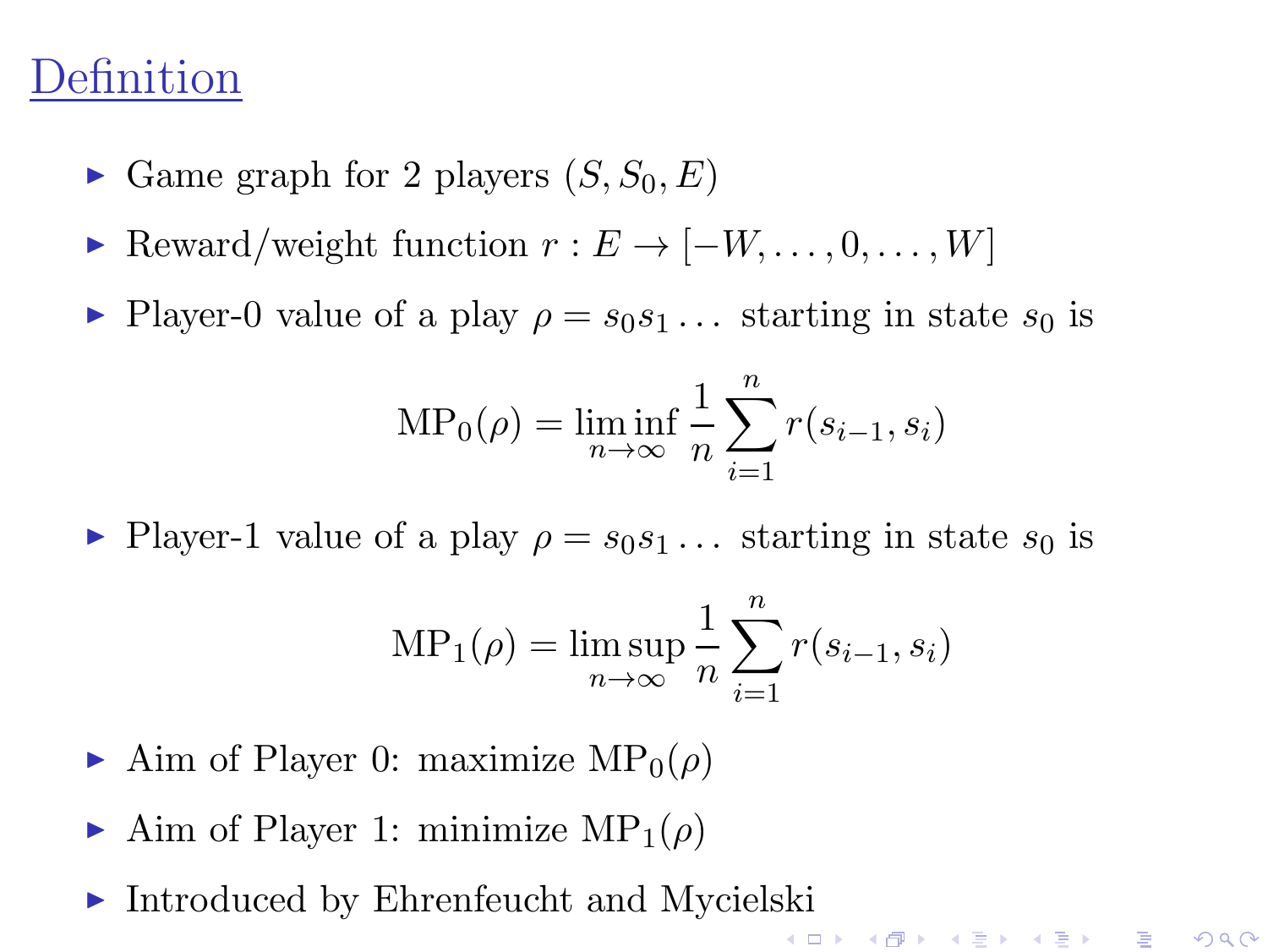### Definition

- Game graph for 2 players  $(S, S_0, E)$
- Reward/weight function  $r : E \to [-W, \ldots, 0, \ldots, W]$
- Player-0 value of a play  $\rho = s_0 s_1 \dots$  starting in state  $s_0$  is

$$
MP_0(\rho) = \liminf_{n \to \infty} \frac{1}{n} \sum_{i=1}^n r(s_{i-1}, s_i)
$$

Player-1 value of a play  $\rho = s_0s_1 \dots$  starting in state  $s_0$  is

$$
MP_1(\rho) = \limsup_{n \to \infty} \frac{1}{n} \sum_{i=1}^n r(s_{i-1}, s_i)
$$

《 ロ 》 《 御 》 《 君 》 《 君 》 《 君

 $\Omega$ 

- Aim of Player 0: maximize  $MP_0(\rho)$
- Aim of Player 1: minimize  $MP_1(\rho)$
- <span id="page-1-0"></span>► Introduced by Ehrenfeucht and Mycielski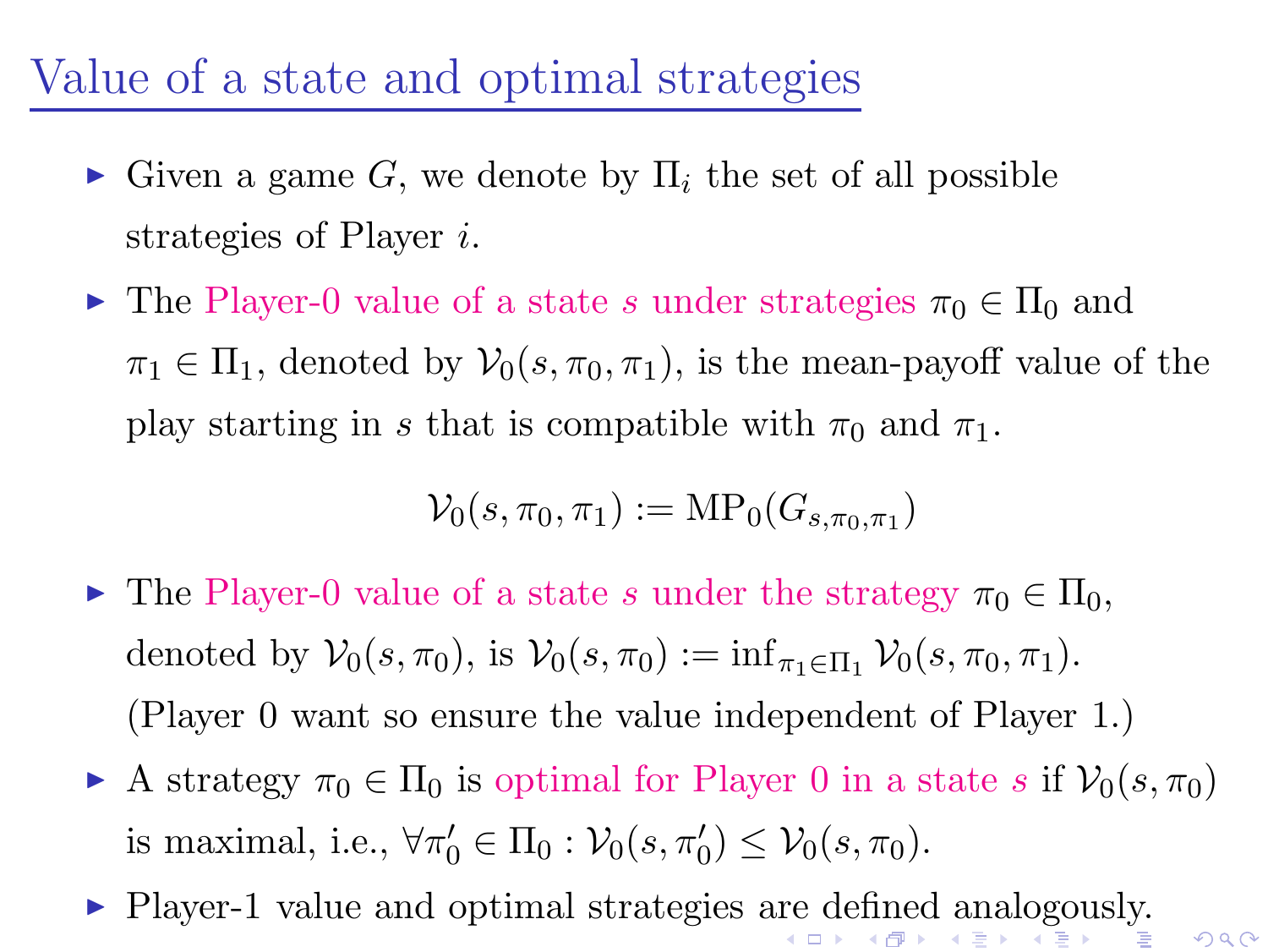### Value of a state and optimal strategies

- $\blacktriangleright$  Given a game G, we denote by  $\Pi_i$  the set of all possible strategies of Player i.
- $\triangleright$  The Player-0 value of a state s under strategies  $\pi_0 \in \Pi_0$  and  $\pi_1 \in \Pi_1$ , denoted by  $\mathcal{V}_0(s, \pi_0, \pi_1)$ , is the mean-payoff value of the play starting in s that is compatible with  $\pi_0$  and  $\pi_1$ .

$$
\mathcal{V}_0(s,\pi_0,\pi_1):=\text{MP}_0(G_{s,\pi_0,\pi_1})
$$

- $\blacktriangleright$  The Player-0 value of a state s under the strategy  $\pi_0 \in \Pi_0$ , denoted by  $\mathcal{V}_0(s, \pi_0)$ , is  $\mathcal{V}_0(s, \pi_0) := \inf_{\pi_1 \in \Pi_1} \mathcal{V}_0(s, \pi_0, \pi_1)$ . (Player 0 want so ensure the value independent of Player 1.)
- A strategy  $\pi_0 \in \Pi_0$  is optimal for Player 0 in a state s if  $\mathcal{V}_0(s, \pi_0)$ is maximal, i.e.,  $\forall \pi'_0 \in \Pi_0 : \mathcal{V}_0(s, \pi'_0) \leq \mathcal{V}_0(s, \pi_0)$ .
- <span id="page-2-0"></span>◮ Player-1 value and optimal strategies [are](#page-1-0) [de](#page-3-0)[fi](#page-1-0)[ne](#page-2-0)[d](#page-3-0) [a](#page-0-0)[nal](#page-11-0)[og](#page-0-0)[ou](#page-11-0)[sly](#page-0-0)[.](#page-11-0)K ロ K K @ K K 를 K K 를

 $290$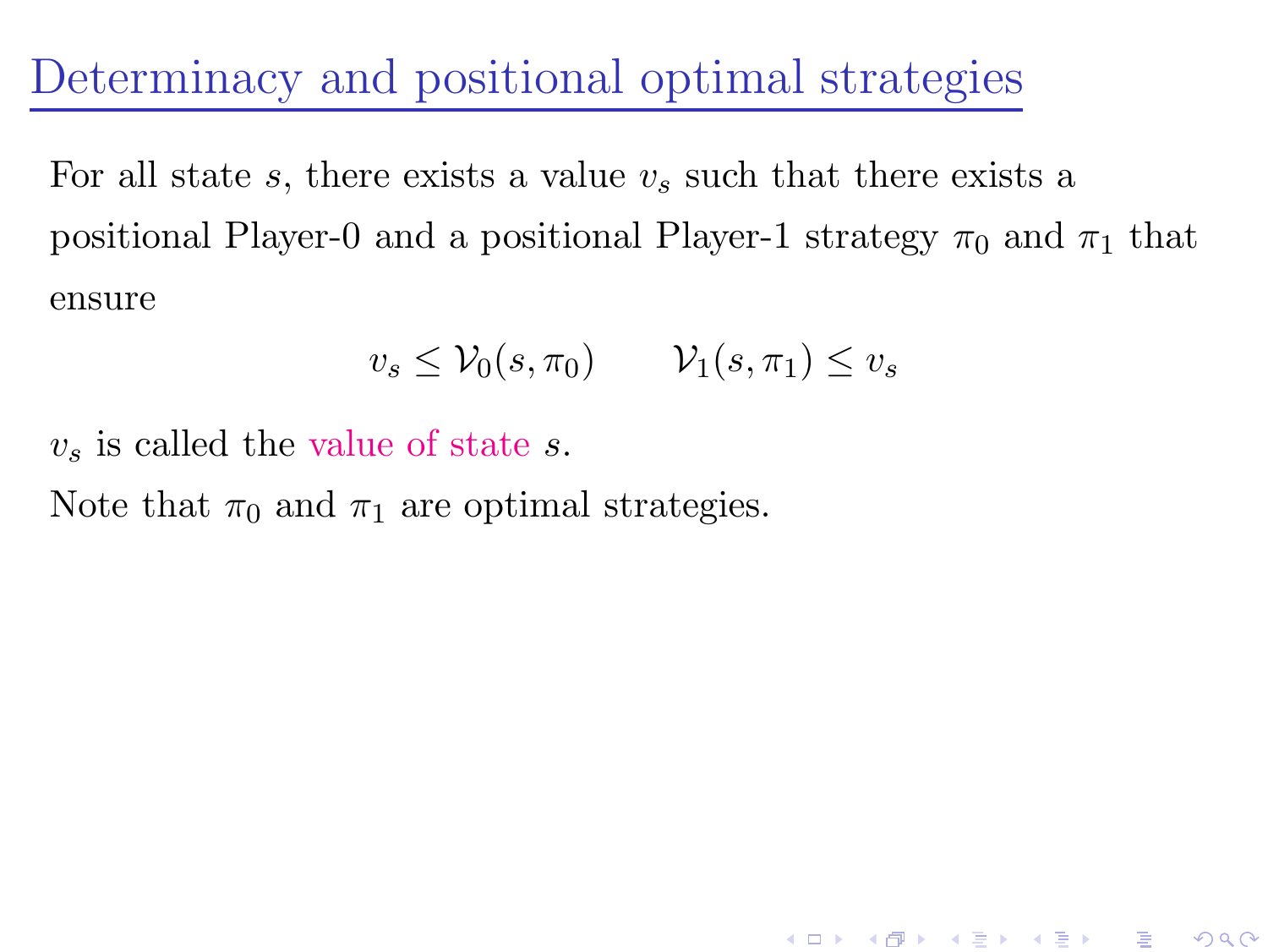Determinacy and positional optimal strategies

For all state s, there exists a value  $v_s$  such that there exists a positional Player-0 and a positional Player-1 strategy  $\pi_0$  and  $\pi_1$  that ensure

$$
v_s \leq \mathcal{V}_0(s, \pi_0) \qquad \mathcal{V}_1(s, \pi_1) \leq v_s
$$

K ロ K K 個 K K R K X R K T R R T R

 $299$ 

 $v<sub>s</sub>$  is called the value of state s.

<span id="page-3-0"></span>Note that  $\pi_0$  and  $\pi_1$  are optimal strategies.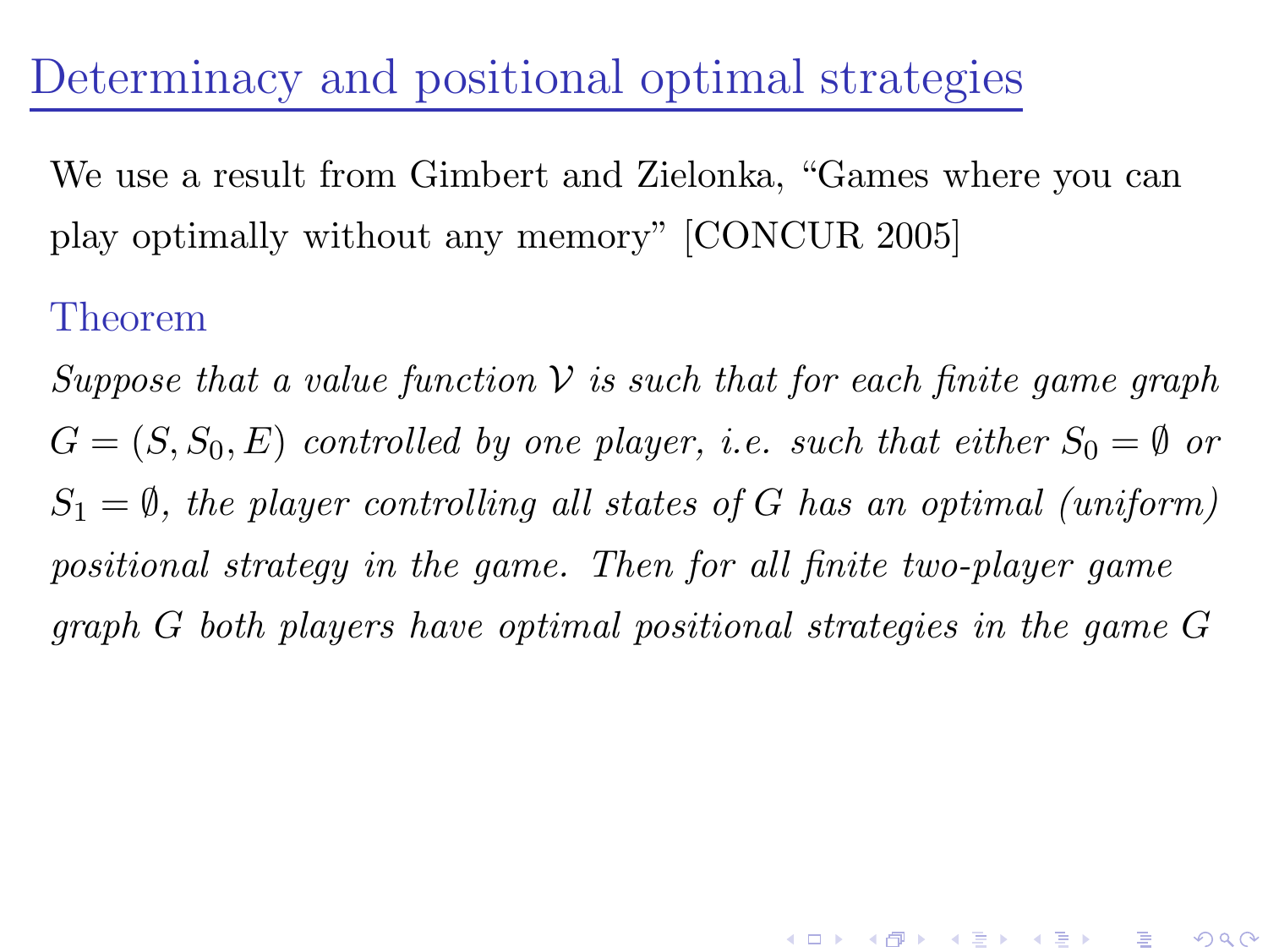Determinacy and positional optimal strategies

We use a result from Gimbert and Zielonka, "Games where you can play optimally without any memory" [CONCUR 2005]

#### Theorem

Suppose that a value function  $\mathcal V$  is such that for each finite game graph  $G = (S, S_0, E)$  controlled by one player, i.e. such that either  $S_0 = \emptyset$  or  $S_1 = \emptyset$ , the player controlling all states of G has an optimal (uniform) positional strategy in the game. Then for all finite two-player game graph G both players have optimal positional strategies in the game G

K ロ ▶ K d @ ▶ K 할 > K 할 > X 할 → X Q Q Q Q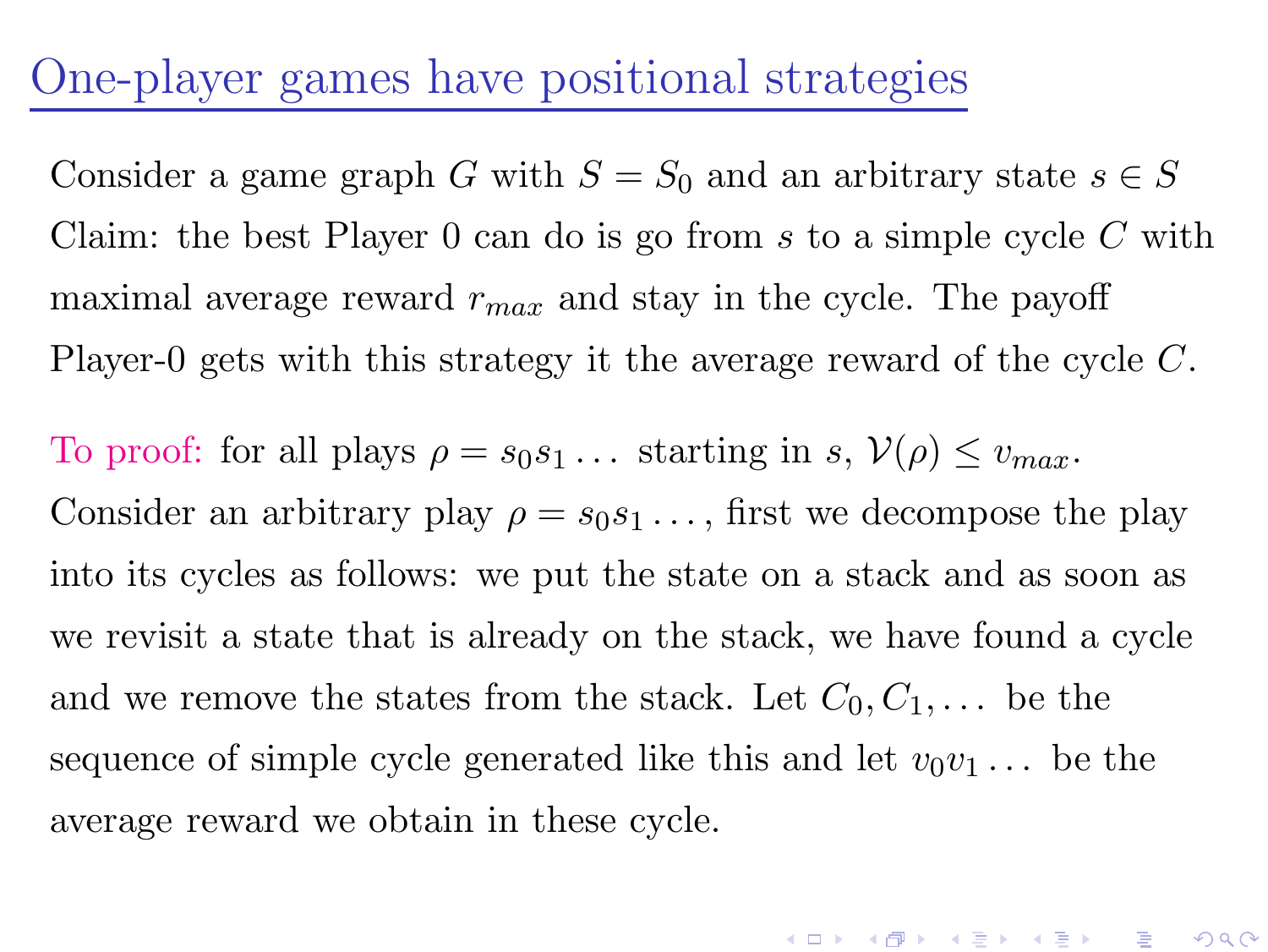### One-player games have positional strategies

Consider a game graph G with  $S = S_0$  and an arbitrary state  $s \in S$ Claim: the best Player  $0$  can do is go from s to a simple cycle  $C$  with maximal average reward  $r_{max}$  and stay in the cycle. The payoff Player-0 gets with this strategy it the average reward of the cycle C.

To proof: for all plays  $\rho = s_0 s_1 \dots$  starting in  $s, \mathcal{V}(\rho) \leq v_{max}$ . Consider an arbitrary play  $\rho = s_0 s_1 \dots$ , first we decompose the play into its cycles as follows: we put the state on a stack and as soon as we revisit a state that is already on the stack, we have found a cycle and we remove the states from the stack. Let  $C_0, C_1, \ldots$  be the sequence of simple cycle generated like this and let  $v_0v_1 \ldots$  be the average reward we obtain in these cycle.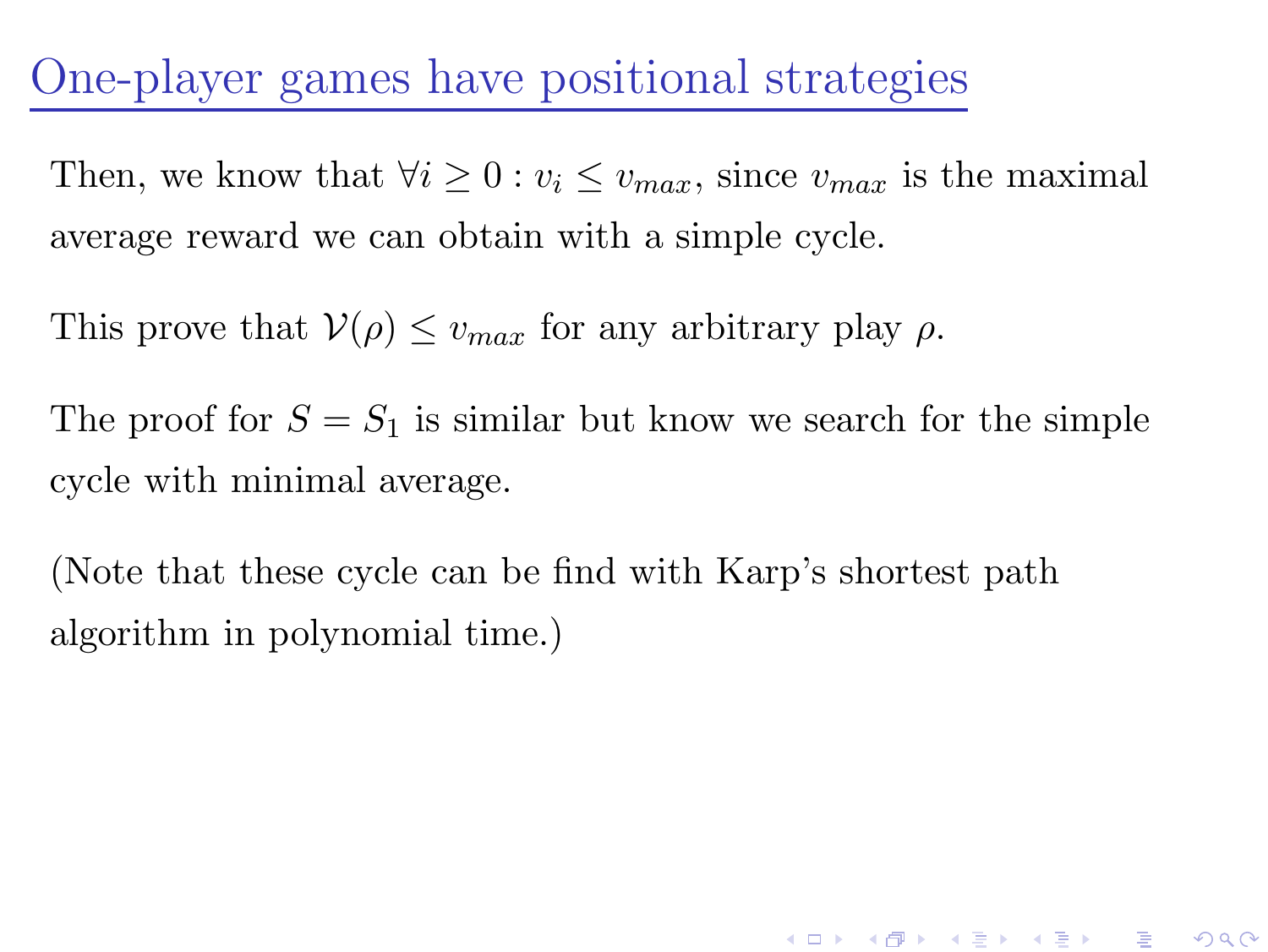## One-player games have positional strategies

Then, we know that  $\forall i \geq 0 : v_i \leq v_{max}$ , since  $v_{max}$  is the maximal average reward we can obtain with a simple cycle.

This prove that  $V(\rho) \leq v_{max}$  for any arbitrary play  $\rho$ .

The proof for  $S = S_1$  is similar but know we search for the simple cycle with minimal average.

K ロ ▶ 《 *同 ▶* 《 경 》 《 경 》 《 경 》

 $299$ 

<span id="page-6-0"></span>(Note that these cycle can be find with Karp's shortest path algorithm in polynomial time.)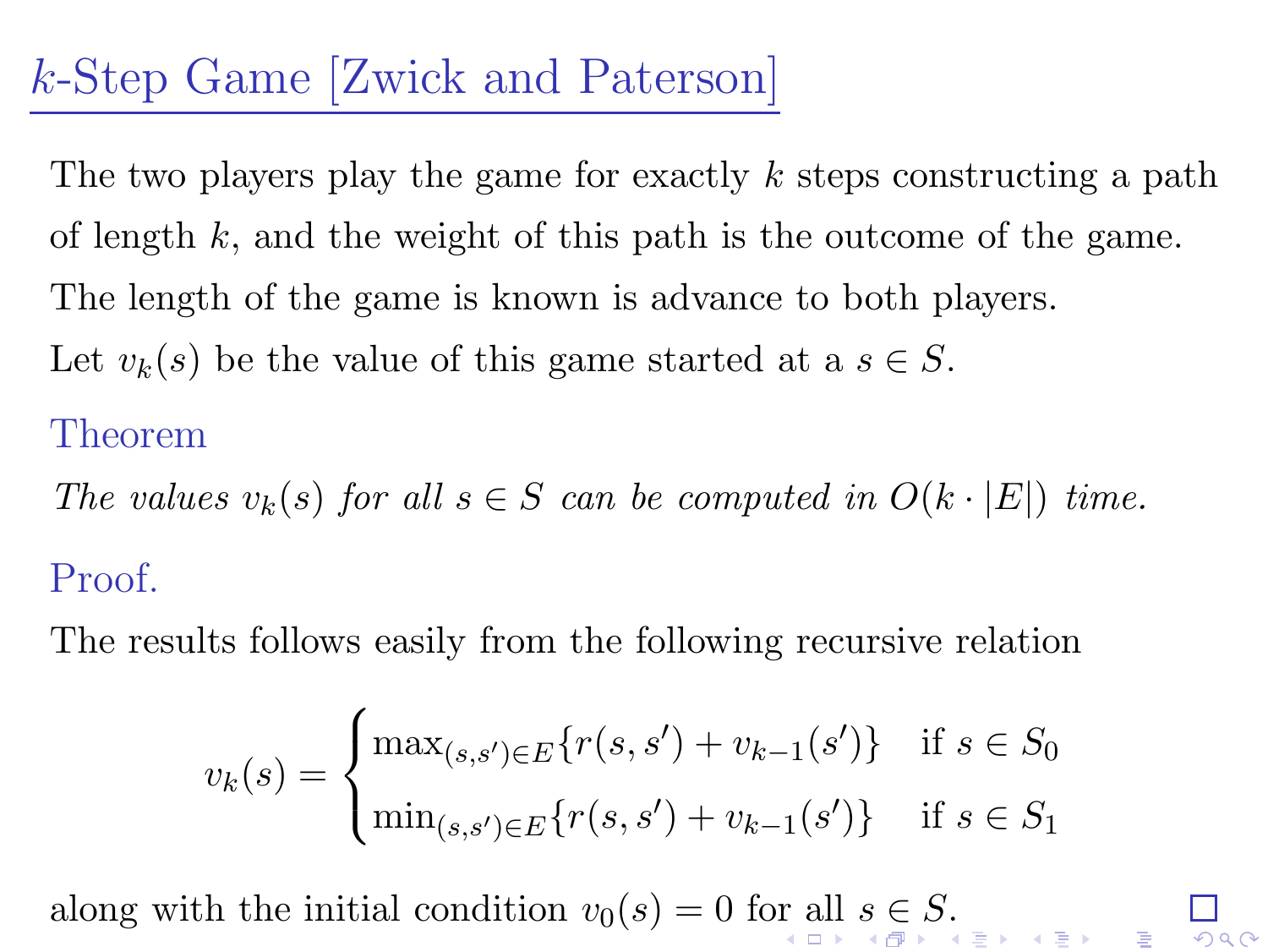# k-Step Game [Zwick and Paterson]

The two players play the game for exactly  $k$  steps constructing a path of length  $k$ , and the weight of this path is the outcome of the game. The length of the game is known is advance to both players. Let  $v_k(s)$  be the value of this game started at a  $s \in S$ .

#### Theorem

The values  $v_k(s)$  for all  $s \in S$  can be computed in  $O(k \cdot |E|)$  time. Proof.

The results follows easily from the following recursive relation

$$
v_k(s) = \begin{cases} \max_{(s,s') \in E} \{r(s,s') + v_{k-1}(s')\} & \text{if } s \in S_0 \\ \min_{(s,s') \in E} \{r(s,s') + v_{k-1}(s')\} & \text{if } s \in S_1 \end{cases}
$$

<span id="page-7-0"></span>along with the initial condition  $v_0(s) = 0$  $v_0(s) = 0$  $v_0(s) = 0$  f[or](#page-6-0) a[ll](#page-8-0)  $s \in S$  $s \in S$ [.](#page-0-0)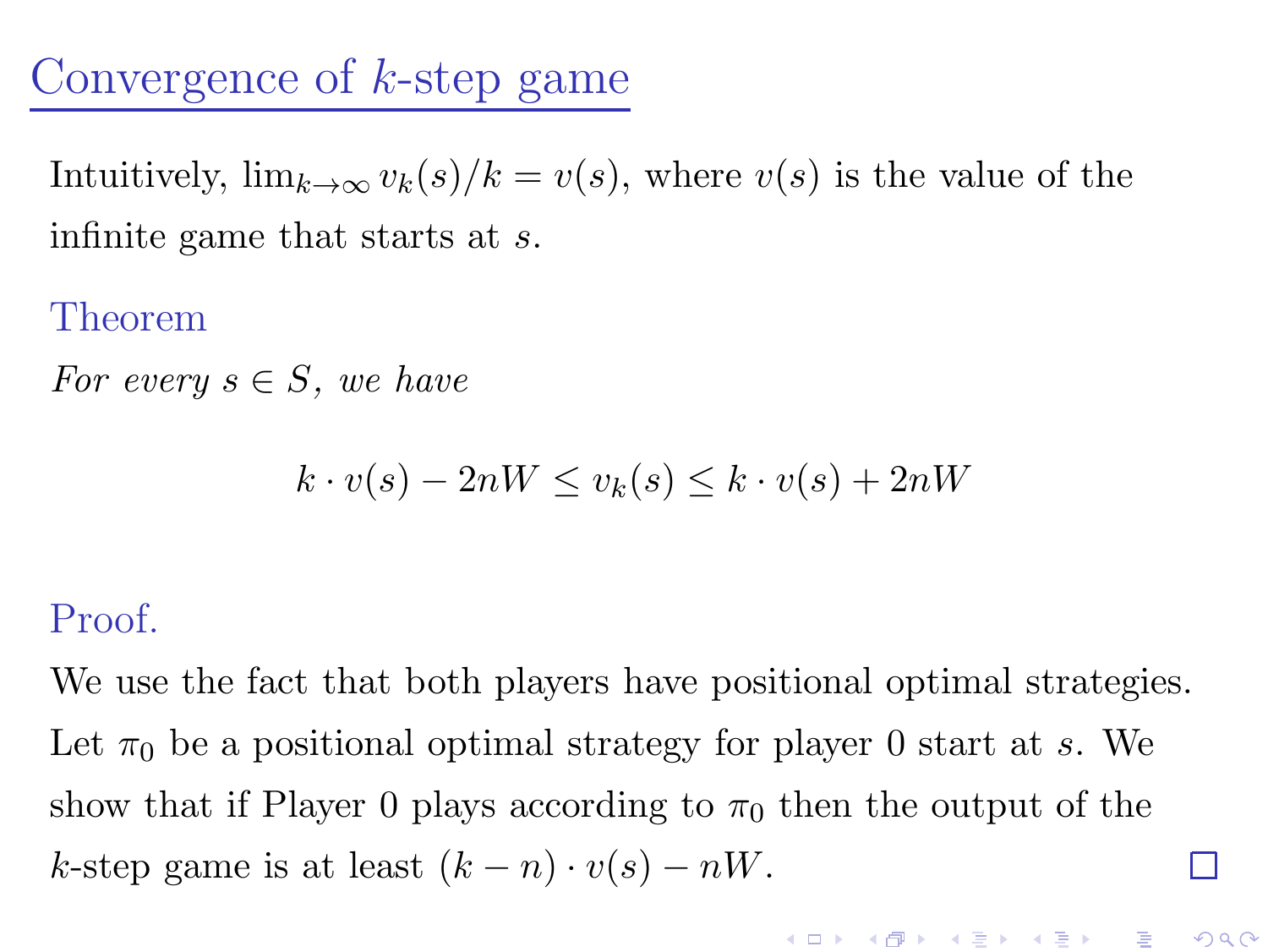## Convergence of k-step game

Intuitively,  $\lim_{k\to\infty} v_k(s)/k = v(s)$ , where  $v(s)$  is the value of the infinite game that starts at s.

#### Theorem

For every  $s \in S$ , we have

$$
k \cdot v(s) - 2nW \le v_k(s) \le k \cdot v(s) + 2nW
$$

#### Proof.

<span id="page-8-0"></span>We use the fact that both players have positional optimal strategies. Let  $\pi_0$  be a positional optimal strategy for player 0 start at s. We show that if Player 0 plays according to  $\pi_0$  then the output of the k-step game is at least  $(k - n) \cdot v(s) - nW$ . П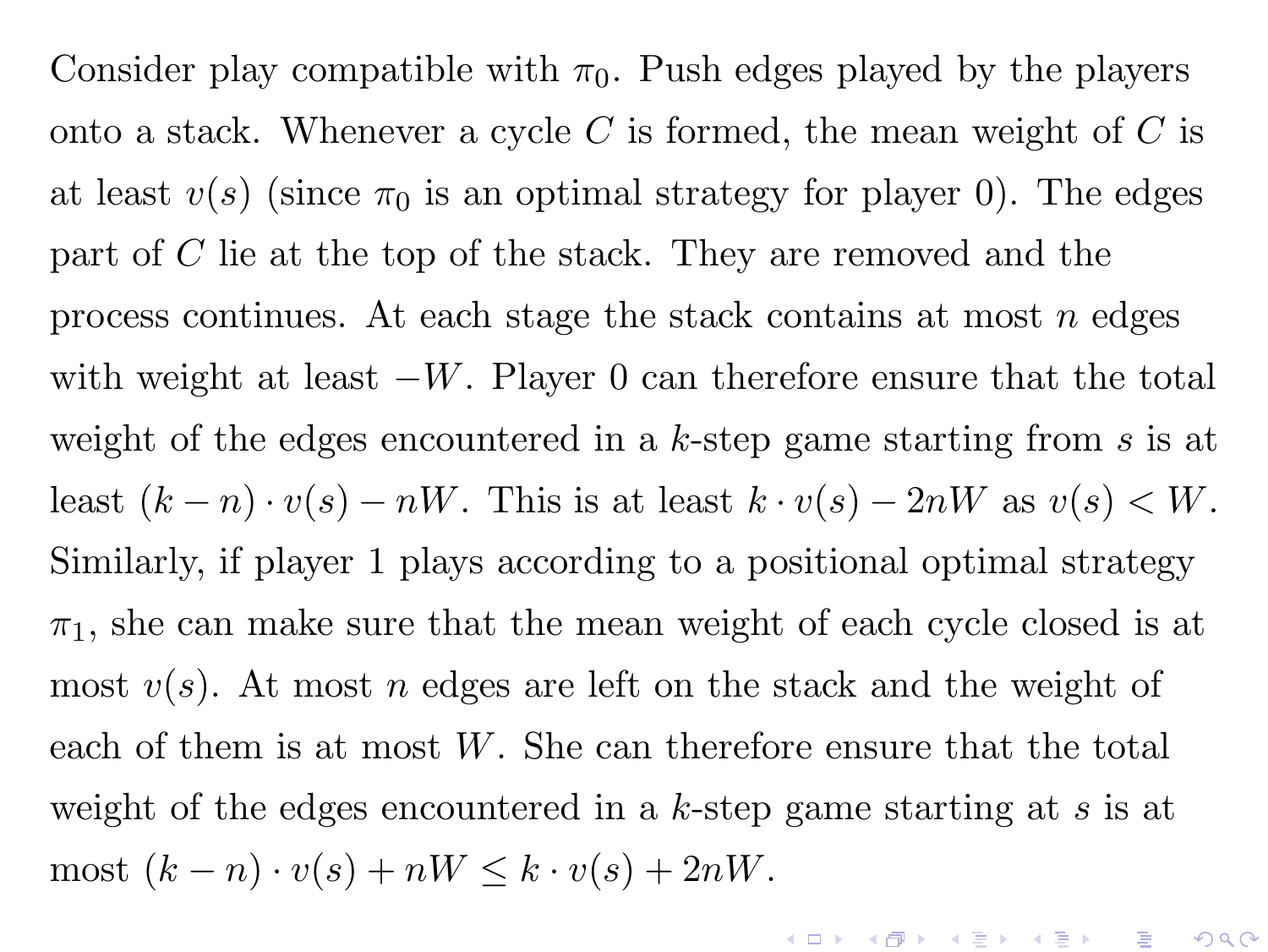Consider play compatible with  $\pi_0$ . Push edges played by the players onto a stack. Whenever a cycle C is formed, the mean weight of C is at least  $v(s)$  (since  $\pi_0$  is an optimal strategy for player 0). The edges part of C lie at the top of the stack. They are removed and the process continues. At each stage the stack contains at most  $n$  edges with weight at least  $-W$ . Player 0 can therefore ensure that the total weight of the edges encountered in a  $k$ -step game starting from  $s$  is at least  $(k - n) \cdot v(s) - nW$ . This is at least  $k \cdot v(s) - 2nW$  as  $v(s) < W$ . Similarly, if player 1 plays according to a positional optimal strategy  $\pi_1$ , she can make sure that the mean weight of each cycle closed is at most  $v(s)$ . At most n edges are left on the stack and the weight of each of them is at most W. She can therefore ensure that the total weight of the edges encountered in a k-step game starting at  $s$  is at most  $(k - n) \cdot v(s) + nW \leq k \cdot v(s) + 2nW$ .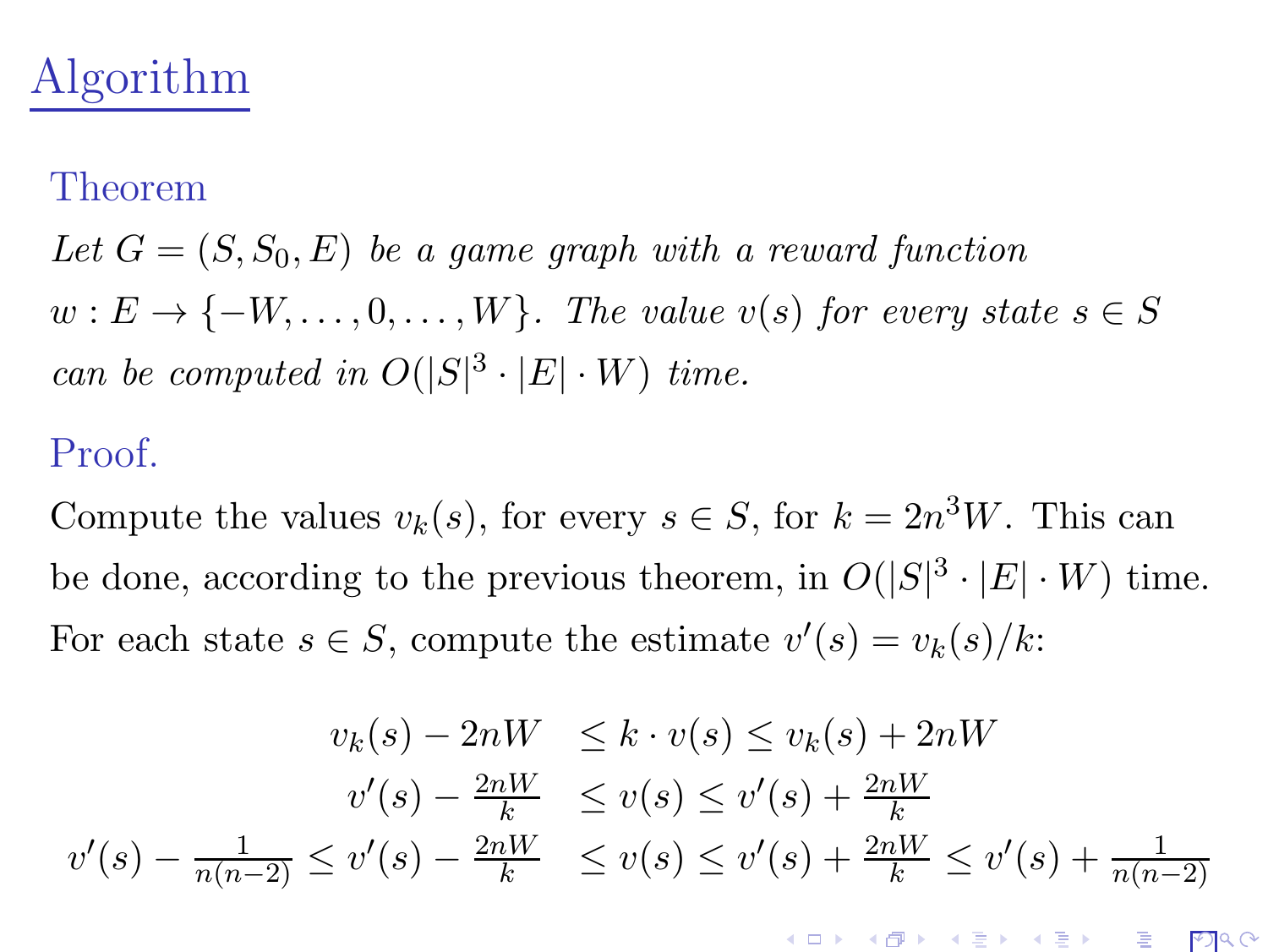# Algorithm

#### Theorem

Let  $G = (S, S_0, E)$  be a game graph with a reward function  $w: E \to \{-W, \ldots, 0, \ldots, W\}$ . The value  $v(s)$  for every state  $s \in S$ can be computed in  $O(|S|^3 \cdot |E| \cdot W)$  time.

#### Proof.

Compute the values  $v_k(s)$ , for every  $s \in S$ , for  $k = 2n^3W$ . This can be done, according to the previous theorem, in  $O(|S|^3 \cdot |E| \cdot W)$  time. For each state  $s \in S$ , compute the estimate  $v'(s) = v_k(s)/k$ :

$$
v_k(s) - 2nW \le k \cdot v(s) \le v_k(s) + 2nW
$$
  

$$
v'(s) - \frac{2nW}{k} \le v(s) \le v'(s) + \frac{2nW}{k}
$$
  

$$
v'(s) - \frac{1}{n(n-2)} \le v'(s) - \frac{2nW}{k} \le v(s) \le v'(s) + \frac{2nW}{k} \le v'(s) + \frac{1}{n(n-2)}
$$

K ロ ▶ (K@) ▶ (K 글 ) (K 글 ) ( ) 글

 $PQQ$